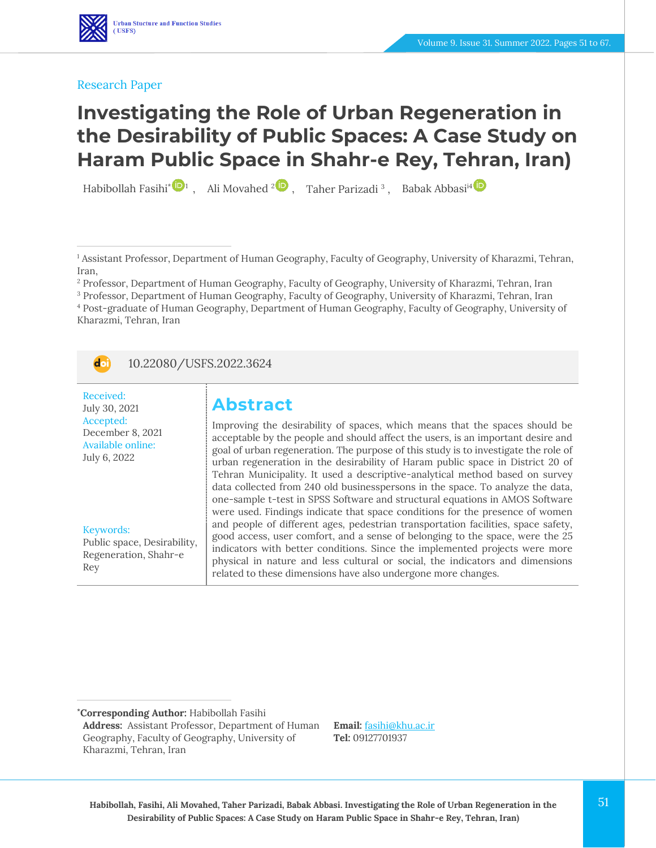

#### Research Paper

# **Investigating the Role of Urban Regeneration in the Desirability of Public Spaces: A Case Study on Haram Public Space in Shahr-e Rey, Tehran, Iran)**

Habibollah Fasihi\* <sup>1</sup>, Ali Movahed <sup>[2](https://www.orcid.org/0000-0001-8500-8340)</sup> , Taher Parizadi<sup>3</sup>, Babak Abbasi<sup>1[4](https://www.orcid.org/0000-0003-1603-4355)</sup>

<sup>2</sup> Professor, Department of Human Geography, Faculty of Geography, University of Kharazmi, Tehran, Iran

<sup>3</sup> Professor, Department of Human Geography, Faculty of Geography, University of Kharazmi, Tehran, Iran <sup>4</sup> Post-graduate of Human Geography, Department of Human Geography, Faculty of Geography, University of Kharazmi, Tehran, Iran

doi 10.22080/USFS.2022.3624

Received: July 30, 2021 Accepted: December 8, 2021 Available online: July 6, 2022

Keywords: Public space, Desirability,

Regeneration, Shahr-e Rey

# **Abstract**

Improving the desirability of spaces, which means that the spaces should be acceptable by the people and should affect the users, is an important desire and goal of urban regeneration. The purpose of this study is to investigate the role of urban regeneration in the desirability of Haram public space in District 20 of Tehran Municipality. It used a descriptive-analytical method based on survey data collected from 240 old businesspersons in the space. To analyze the data, one-sample t-test in SPSS Software and structural equations in AMOS Software were used. Findings indicate that space conditions for the presence of women and people of different ages, pedestrian transportation facilities, space safety, good access, user comfort, and a sense of belonging to the space, were the 25 indicators with better conditions. Since the implemented projects were more physical in nature and less cultural or social, the indicators and dimensions related to these dimensions have also undergone more changes.

**\*Corresponding Author:** Habibollah Fasihi

**Email:** [fasihi@khu.ac.ir](file:///C:/Users/farha/Desktop/UFTS-01-1401/Temp/fasihi@khu.ac.ir) **Tel:** 09127701937

<sup>1</sup> Assistant Professor, Department of Human Geography, Faculty of Geography, University of Kharazmi, Tehran, Iran,

**Address:** Assistant Professor, Department of Human Geography, Faculty of Geography, University of Kharazmi, Tehran, Iran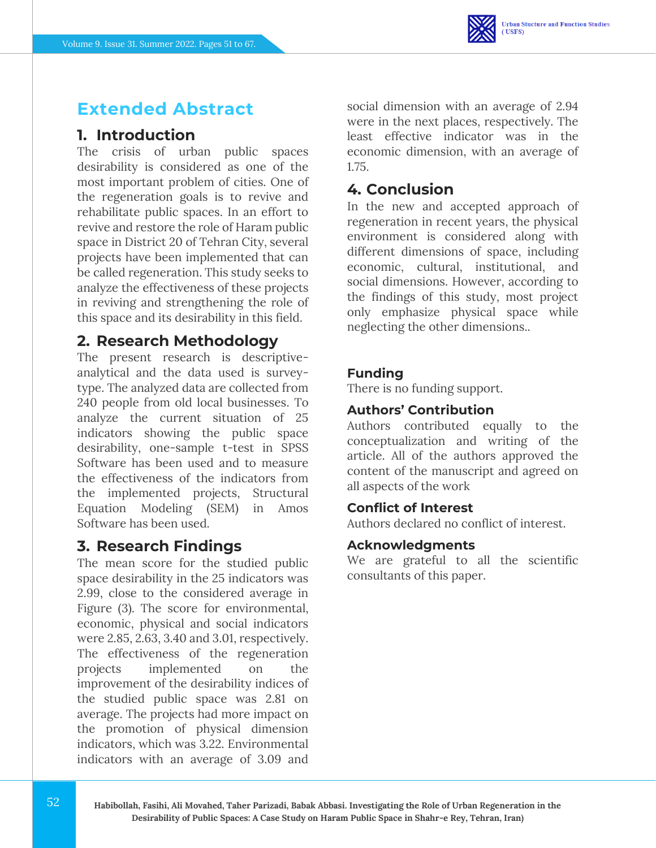# **Extended Abstract**

### **1. Introduction**

The crisis of urban public spaces desirability is considered as one of the most important problem of cities. One of the regeneration goals is to revive and rehabilitate public spaces. In an effort to revive and restore the role of Haram public space in District 20 of Tehran City, several projects have been implemented that can be called regeneration. This study seeks to analyze the effectiveness of these projects in reviving and strengthening the role of this space and its desirability in this field.

### **2. Research Methodology**

The present research is descriptiveanalytical and the data used is surveytype. The analyzed data are collected from 240 people from old local businesses. To analyze the current situation of 25 indicators showing the public space desirability, one-sample t-test in SPSS Software has been used and to measure the effectiveness of the indicators from the implemented projects, Structural Equation Modeling (SEM) in Amos Software has been used.

### **3. Research Findings**

The mean score for the studied public space desirability in the 25 indicators was 2.99, close to the considered average in Figure (3). The score for environmental, economic, physical and social indicators were 2.85, 2.63, 3.40 and 3.01, respectively. The effectiveness of the regeneration projects implemented on the improvement of the desirability indices of the studied public space was 2.81 on average. The projects had more impact on the promotion of physical dimension indicators, which was 3.22. Environmental indicators with an average of 3.09 and

social dimension with an average of 2.94 were in the next places, respectively. The least effective indicator was in the economic dimension, with an average of 1.75.

### **4. Conclusion**

In the new and accepted approach of regeneration in recent years, the physical environment is considered along with different dimensions of space, including economic, cultural, institutional, and social dimensions. However, according to the findings of this study, most project only emphasize physical space while neglecting the other dimensions..

#### **Funding**

There is no funding support.

#### **Authors' Contribution**

Authors contributed equally to the conceptualization and writing of the article. All of the authors approved the content of the manuscript and agreed on all aspects of the work

#### **Conflict of Interest**

Authors declared no conflict of interest.

#### **Acknowledgments**

We are grateful to all the scientific consultants of this paper.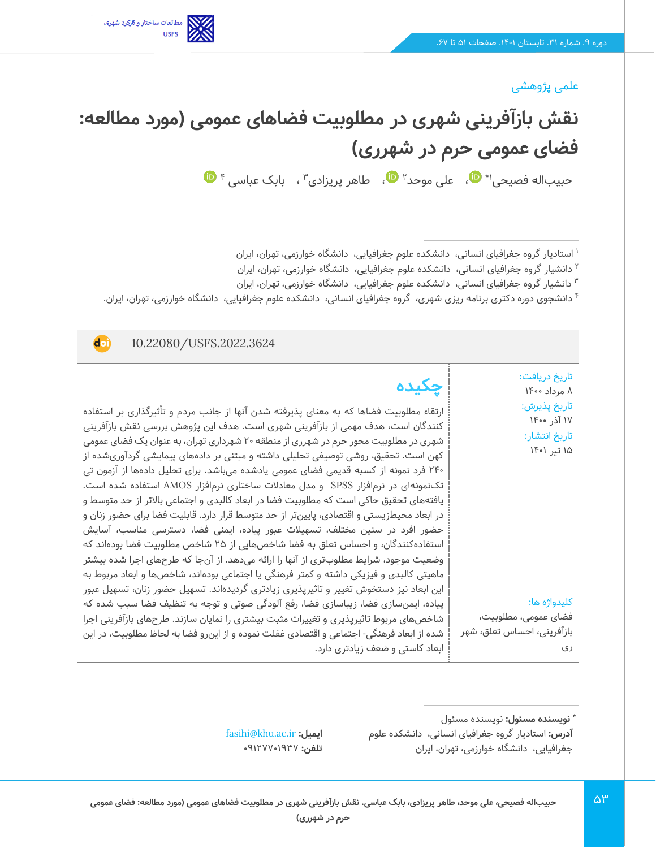

#### علمی پژوهشی

# **نقش بازآفرینی شهری در مطلوبیت فضاهای عمومی )مورد مطالعه: فضای عمومی حرم در شهرری(**  حبیباله فصیحی'\* �[،](https://www.orcid.org/0000-0002-0672-0944) علی موحد' �، طاهر پریزادی" ، بابک عباسی <sup>۴</sup>

1 استادیار گروه جغرافیای انسانی، دانشکده علوم جغرافیایی، دانشگاه خوارزمی، تهران، ایران

2 دانشیار گروه جغرافیای انسانی، دانشکده علوم جغرافیایی، دانشگاه خوارزمی، تهران، ایران

دانشیار گروه جغرافیای انسانی، دانشکده علوم جغرافیایی، دانشگاه خوارزمی، تهران، ایران <sup>3</sup>

4 دانشجوی دوره دکتری برنامه ریزی شهری، گروه جغرافیای انسانی، دانشکده علوم جغرافیایی، دانشگاه خوارزمی، تهران، ایران.

10.22080/USFS.2022.3624

**doi** 

تاریخ دریافت: 8 مرداد 1400 تاریخ پذیرش : 17 آذر 1400 تاریخ انتشار: 15 تیر 1401

**چکیده**

ارتقاء مطلوبیت فضاها که به معنای پذیرفته شدن آنها از جانب مردم و تأثیرگذاری بر استفاده کنندگان است، هدف مهمی از بازآفرینی شهری است. هدف این پژوهش بررسی نقش بازآفرینی شهری در مطلوبیت محور حرم در شهرری از منطقه 20 شهرداری تهران، به عنوان یک فضای عمومی کهن است. تحقیق، روشی توصیفی تحلیلی داشته و مبتنی بر دادههای پیمایشی گردآوری شده از 240 فرد نمونه از کسبه قدیمی فضای عمومی یادشده میباشد. برای تحلیل دادهها از آزمون تی تک نمونهای در نرمافزار SPSS و مدل معادالت ساختاری نرمافزار AMOS استفاده شده است. یافتههای تحقیق حاکی است که مطلوبیت فضا در ابعاد کالبدی و اجتماعی باالتر از حد متوسط و در ابعاد محیطزیستی و اقتصادی، پایینتر از حد متوسط قرار دارد. قابلیت فضا برای حضور زنان و حضور افرد در سنین مختلف، تسهیالت عبور پیاده، ایمنی فضا، دسترسی مناسب، آسایش استفادهکنندگان، و احساس تعلق به فضا شاخص هایی از 25 شاخص مطلوبیت فضا بودهاند که وضعیت موجود، شرایط مطلوبتری از آنها را ارائه میدهد. از آنجا که طرحهای اجرا شده بیشتر ماهیتی کالبدی و فیزیکی داشته و کمتر فرهنگی یا اجتماعی بودهاند، شاخصها و ابعاد مربوط به این ابعاد نیز دستخوش تغییر و تاثیرپذیری زیادتری گردیدهاند. تسهیل حضور زنان، تسهیل عبور پیاده، ایمنسازی فضا، زیباسازی فضا، رفع آلودگی صوتی و توجه به تنظیف فضا سبب شده که شاخصهای مربوط تاثیرپذیری و تغییرات مثبت بیشتری را نمایان سازند. طرحهای بازآفرینی اجرا شده از ابعاد فرهنگی- اجتماعی و اقتصادی غفلت نموده و از این رو فضا به لحاظ مطلوبیت، در این ابعاد کاستی و ضعف زیادتری دارد.

کلیدواژه ها:

فضای عمومی، مطلوبیت، بازآفرینی، احساس تعلق، شهر ری

**:** نویسنده مسئول **\* نویسنده مسئول آدرس:** استادیار گروه جغرافیای انسانی، دانشکده علوم جغرافیایی، دانشگاه خوارزمی، تهران، ایران

[fasihi@khu.ac.ir](file:///C:/Users/farha/Desktop/UFTS-01-1401/Temp/fasihi@khu.ac.ir) **:ایمیل تلفن:** 09127701937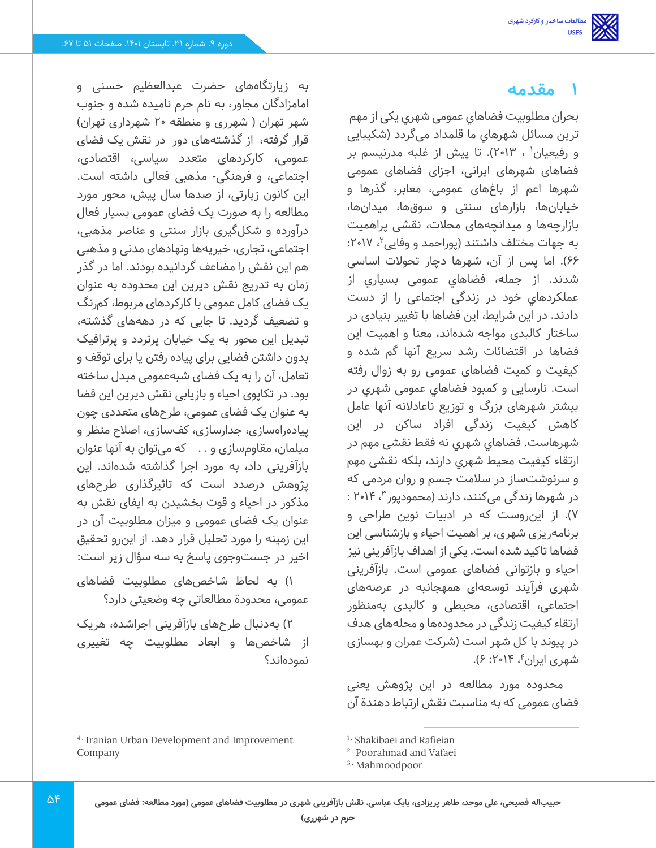# **1 مقدمه**

بحران مطلوبیت فضاهاي عمومی شهري یکی از مهم ترین مسائل شهرهاي ما قلمداد می گردد )شکیبایی و رفیعیان' ، ۲۰۱۳). تا پیش از غلبه مدرنیسم بر فضاهای شهرهای ایرانی، اجزای فضاهای عمومی شهرها اعم از باغ های عمومی، معابر، گذرها و خیابانها، بازارهای سنتی و سوق ها، میدانها، بازارچهها و میدانچههای محالت، نقشی پراهمیت به جهات مختلف داشتند (پوراحمد و وفایی۲، ۲۰۱۷: 66(. اما پس از آن، شهرها دچار تحوالت اساسی شدند. از جمله، فضاهاي عمومی بسیاري از عملکردهاي خود در زندگی اجتماعی را از دست دادند. در این شرایط، این فضاها با تغییر بنیادی در ساختار کالبدی مواجه شده اند، معنا و اهمیت این فضاها در اقتضائات رشد سریع آنها گم شده و کیفیت و کمیت فضاهای عمومی رو به زوال رفته است. نارسایی و کمبود فضاهاي عمومی شهري در بیشتر شهرهای بزرگ و توزیع ناعادالنه آنها عامل کاهش کیفیت زندگی افراد ساکن در این شهرهاست . فضاهاي شهري نه فقط نقشی مهم در ارتقاء کیفیت محیط شهري دارند، بلکه نقشی مهم و سرنوشت ساز در سالمت جسم و روان مردمی که در شهرها زندگی می کنند، دارند (محمودپور ۳، ۲۰۱۴ : 7(. از این روست که در ادبیات نوین طراحی و برنامهریزی شهری، بر اهمیت احیاء و بازشناسی این فضاها تاکید شده است. یکی از اهداف بازآفرینی نیز احیاء و بازتوانی فضاهای عمومی است. بازآفرینی شهری فرآیند توسعهای همهجانبه در عرصههای اجتماعی، اقتصادی، محیطی و کالبدی به منظور ارتقاء کیفیت زندگی در محدودهها و محلههای هدف در پیوند با کل شهر است )شرکت عمران و بهسازی شهری ایران ٔ، ۲۰۱۴: ۶).

محدوده مورد مطالعه در این پژوهش یعنی فضای عمومی که به مناسبت نقش ارتباط دهندة آن

به زیارتگاههای حضرت عبدالعظیم حسنی و امامزادگان مجاور، به نام حرم نامیده شده و جنوب شهر تهران ( شهرری و منطقه ۲۰ شهرداری تهران) قرار گرفته، از گذشتههای دور در نقش یک فضای عمومی، کارکردهای متعدد سیاسی، اقتصادی، اجتماعی، و فرهنگی- مذهبی فعالی داشته است. این کانون زیارتی، از صدها سال پیش، محور مورد مطالعه را به صورت یک فضای عمومی بسیار فعال درآورده و شکل گیری بازار سنتی و عناصر مذهبی، اجتماعی، تجاری، خیریه ها ونهادهای مدنی و مذهبی هم این نقش را مضاعف گردانیده بودند. اما در گذر زمان به تدریج نقش دیرین این محدوده به عنوان یک فضای کامل عمومی با کارکردهای مربوط، کم رنگ و تضعیف گردید. تا جایی که در دهه های گذشته، تبدیل این محور به یک خیابان پرتردد و پرترافیک بدون داشتن فضایی برای پیاده رفتن یا برای توقف و تعامل، آن را به یک فضای شبهعمومی مبدل ساخته بود. در تکاپوی احیاء و بازیابی نقش دیرین این فضا به عنوان یک فضای عمومی، طرح های متعددی چون پیاده راهسازی، جدارسازی، کفسازی، اصالح منظر و مبلمان، مقاومسازی و . . که میتوان به آنها عنوان بازآفرینی داد، به مورد اجرا گذاشته شدهاند. این پژوهش درصدد است که تاثیرگذاری طرح های مذکور در احیاء و قوت بخشیدن به ایفای نقش به عنوان یک فضای عمومی و میزان مطلوبیت آن در این زمینه را مورد تحلیل قرار دهد. از این رو تحقیق اخیر در جست وجوی پاسخ به سه سؤال زیر است:

1( به لحاظ شاخص های مطلوبیت فضاهای عمومی، محدودة مطالعاتی چه وضعیتی دارد؟

2( به دنبال طرح های بازآفرینی اجراشده، هریک از شاخص ها و ابعاد مطلوبیت چه تغییری نموده اند؟

<sup>4</sup> . Iranian Urban Development and Improvement Company

<sup>&</sup>lt;sup>1.</sup> Shakibaei and Rafieian

<sup>2</sup> . Poorahmad and Vafaei

<sup>3</sup> . Mahmoodpoor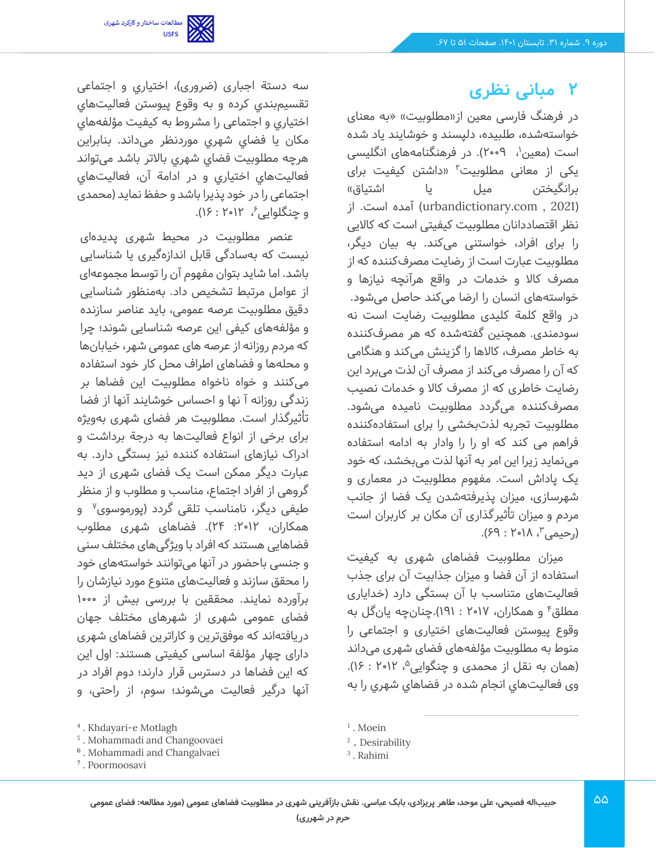

# **2 مبانی نظری**

در فرهنگ فارسی معین از«مطلوبیت» «به معنای خواستهشده، طلبیده، دلپسند و خوشایند یاد شده است (معین'، ۲۰۰۹). در فرهنگنامههای انگلیسی یکی از معانی مطلوبیت<sup>۲</sup> «داشتن کیفیت برای برانگیختن میل یا اشتیاق« )2021 , com.urbandictionary )آمده است. از نظر اقتصاددانان مطلوبیت کیفیتی است که کاالیی را برای افراد، خواستنی می کند. به بیان دیگر، مطلوبیت عبارت است از رضایت مصرفکننده که از مصرف کاال و خدمات در واقع هرآنچه نیازها و خواستههای انسان را ارضا می کند حاصل می شود. در واقع کلمة کلیدی مطلوبیت رضایت است نه سودمندی. همچنین گفتهشده که هر مصرف كننده به خاطر مصرف، كاالها را گزینش می کند و هنگامی كه آن را مصرف می كند از مصرف آن لذت می برد این رضایت خاطری كه از مصرف كاال و خدمات نصیب مصرفكننده می گردد مطلوبیت نامیده می شود. مطلوبیت تجربه لذت بخشی را برای استفاده کننده فراهم می کند که او را را وادار به ادامه استفاده مینماید زیرا این امر به آنها لذت می بخشد، که خود یک پاداش است. مفهوم مطلوبیت در معماری و شهرسازی، میزان پذیرفته شدن یک فضا از جانب مردم و میزان تأثیرگذاری آن مکان بر کاربران است ، 2018 : 69(. <sup>3</sup> )رحیمی

میزان مطلوبیت فضاهای شهری به کیفیت استفاده از آن فضا و میزان جذابیت آن برای جذب فعالیتهای متناسب با آن بستگی دارد )خدایاری 4 مطلق و همکاران، 2017 : 191(.چنانچه یان گل به وقوع پیوستن فعالیت های اختیاری و اجتماعی را منوط به مطلوبیت مؤلفههای فضای شهری می داند (همان به نقل از محمدی و چنگوایی^، ۱۲۰۱۲ : ۱۶). وی فعالیتهاي انجام شده در فضاهاي شهري را به

سه دستة اجباری (ضروری)، اختیاری و اجتماعی تقسیمبندي کرده و به وقوع پیوستن فعالیت هاي اختیاري و اجتماعی را مشروط به کیفیت مؤلفه هاي مکان یا فضاي شهري موردنظر می داند. بنابراین هرچه مطلوبیت فضاي شهري باالتر باشد می تواند فعالیتهاي اختیاري و در ادامة آن، فعالیت هاي اجتماعی را در خود پذیرا باشد و حفظ نماید )محمدی و چنگلوایی ُ، ۲۰۱۲ : ۱۶).

عنصر مطلوبیت در محیط شهری پدیدهای نیست که به سادگی قابل اندازهگیری یا شناسایی باشد. اما شاید بتوان مفهوم آن را توسط مجموعه ای از عوامل مرتبط تشخیص داد. به منظور شناسایی دقیق مطلوبیت عرصه عمومی، باید عناصر سازنده و مؤلفههای کیفی این عرصه شناسایی شوند؛ چرا که مردم روزانه از عرصه های عمومی شهر، خیابانها و محله ها و فضاهای اطراف محل کار خود استفاده میکنند و خواه ناخواه مطلوبیت این فضاها بر زندگی روزانه آ نها و احساس خوشایند آنها از فضا تأثیرگذار است. مطلوبیت هر فضای شهری به ویژه برای برخی از انواع فعالیت ها به درجة برداشت و ادراک نیازهای استفاده کننده نیز بستگی دارد. به عبارت دیگر ممکن است یک فضای شهری از دید گروهی از افراد اجتماع، مناسب و مطلوب و از منظر طیفی دیگر، نامناسب تلقی گردد (پورموسوی<sup>۷</sup> و همکاران، ۲۰۱۲: ۲۴). فضاهای شهری مطلوب فضاهایی هستند که افراد با ویژگی های مختلف سنی و جنسی باحضور در آنها می توانند خواستههای خود را محقق سازند و فعالیت های متنوع مورد نیازشان را برآورده نمایند. محققین با بررسی بیش از 1000 فضای عمومی شهری از شهرهای مختلف جهان دریافته اند که موفق ترین و کاراترین فضاهای شهری دارای چهار مؤلفة اساسی کیفیتی هستند: اول این که این فضاها در دسترس قرار دارند؛ دوم افراد در آنها درگیر فعالیت می شوند؛ سوم، از راحتی، و

<sup>&</sup>lt;sup>1</sup>. Moein

<sup>2</sup> . Desirability

<sup>3</sup> . Rahimi

<sup>4</sup> . Khdayari-e Motlagh

<sup>5</sup> . Mohammadi and Changoovaei

<sup>6</sup> . Mohammadi and Changalvaei

<sup>7</sup> . Poormoosavi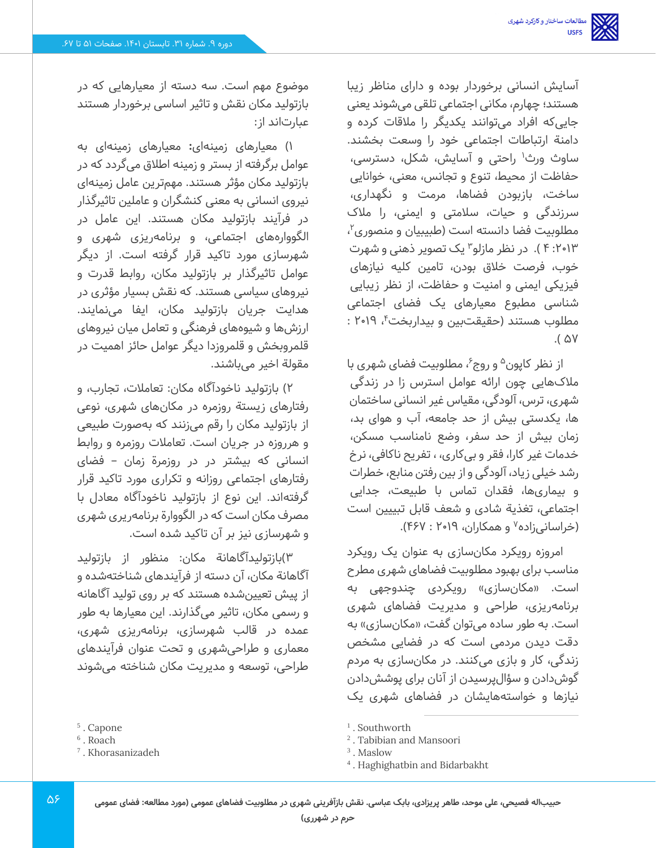آسایش انسانی برخوردار بوده و دارای مناظر زیبا هستند؛ چهارم، مکانی اجتماعی تلقی می شوند یعنی جایی که افراد می توانند یکدیگر را مالقات کرده و دامنة ارتباطات اجتماعی خود را وسعت بخشند. ساوث ورث<sup>۱</sup> راحتی و آسایش، شکل، دسترسی، حفاظت از محیط، تنوع و تجانس، معنی، خوانایی ساخت، بازبودن فضاها، مرمت و نگهداری، سرزندگی و حیات، سالمتی و ایمنی، را مالک مطلوبیت فضا دانسته است (طبیبیان و منصوری<sup>۲</sup>، یک تصویر ذهنی و شهرت :2013 4 (. در نظر مازلو <sup>3</sup> خوب، فرصت خالق بودن، تامین کلیه نیازهای فیزیکی ایمنی و امنیت و حفاظت، از نظر زیبایی شناسی مطبوع معیارهای یک فضای اجتماعی مطلوب هستند (حقیقتبین و بیداربخت ٔ، ۲۰۱۹ :  $.67<sub>0</sub>$ 

از نظر کاپون<sup>۵</sup> و روج ُ، مطلوبیت فضای شهری با مالکهایی چون ارائه عوامل استرس زا در زندگی شهری، ترس، آلودگی، مقیاس غیر انسانی ساختمان ها، یکدستی بیش از حد جامعه، آب و هوای بد، زمان بیش از حد سفر، وضع نامناسب مسکن، خدمات غیر کارا، فقر و بیکاری، ، تفریح ناکافی، نرخ رشد خیلی زیاد، آلودگی و از بین رفتن منابع، خطرات و بیماری ها، فقدان تماس با طبیعت، جدایی اجتماعی، تغذیة شادی و شعف قابل تبییین است (خراسانیزاده<sup>۷</sup> و همکاران، ۲۰۱۹ : ۴۶۷).

امروزه رویکرد مکان سازی به عنوان یک رویکرد مناسب برای بهبود مطلوبیت فضاهای شهری مطرح است. «مکانسازی» رویکردی چندوجهی به برنامهریزی، طراحی و مدیریت فضاهای شهری است. به طور ساده می توان گفت، «مکانسازی» به دقت دیدن مردمی است که در فضایی مشخص زندگی، کار و بازی می کنند. در مکان سازی به مردم گوش دادن و سؤال پرسیدن از آنان برای پوشش دادن نیازها و خواستههایشان در فضاهای شهری یک

موضوع مهم است. سه دسته از معیارهایی که در بازتولید مکان نقش و تاثیر اساسی برخوردار هستند عبارتاند از:

1( معیارهای زمینهای**:** معیارهای زمینهای به عوامل برگرفته از بستر و زمینه اطالق می گردد که در بازتولید مکان مؤثر هستند. مهمترین عامل زمینهای نیروی انسانی به معنی کنشگران و عاملین تاثیرگذار در فرآیند بازتولید مکان هستند. این عامل در الگووارههای اجتماعی، و برنامهریزی شهری و شهرسازی مورد تاکید قرار گرفته است. از دیگر عوامل تاثیرگذار بر بازتولید مکان، روابط قدرت و نیروهای سیاسی هستند. که نقش بسیار مؤثری در هدایت جریان بازتولید مکان، ایفا می نمایند. ارزشها و شیوه های فرهنگی و تعامل میان نیروهای قلمروبخش و قلمروزدا دیگر عوامل حائز اهمیت در مقولة اخیر می باشند.

2( بازتولید ناخودآگاه مکان: تعامالت، تجارب، و رفتارهای زیستة روزمره در مکانهای شهری، نوعی از بازتولید مکان را رقم می زنند که به صورت طبیعی و هرروزه در جریان است. تعامالت روزمره و روابط انسانی که بیشتر در در روزمرة زمان – فضای رفتارهای اجتماعی روزانه و تکراری مورد تاکید قرار گرفتهاند. این نوع از بازتولید ناخودآگاه معادل با مصرف مکان است که در الگووارة برنامه ریری شهری و شهرسازی نیز بر آن تاکید شده است.

3(بازتولیدآگاهانة مکان: منظور از بازتولید آگاهانة مکان، آن دسته از فرآیندهای شناخته شده و از پیش تعیینشده هستند که بر روی تولید آگاهانه و رسمی مکان، تاثیر می گذارند. این معیارها به طور عمده در قالب شهرسازی، برنامهریزی شهری، معماری و طراحی شهری و تحت عنوان فرآیندهای طراحی، توسعه و مدیریت مکان شناخته می شوند

<sup>5</sup> . Capone

<sup>6</sup> . Roach

<sup>7</sup> . Khorasanizadeh

<sup>1</sup> . Southworth

<sup>2</sup> . Tabibian and Mansoori

<sup>3</sup> . Maslow

<sup>4</sup> . Haghighatbin and Bidarbakht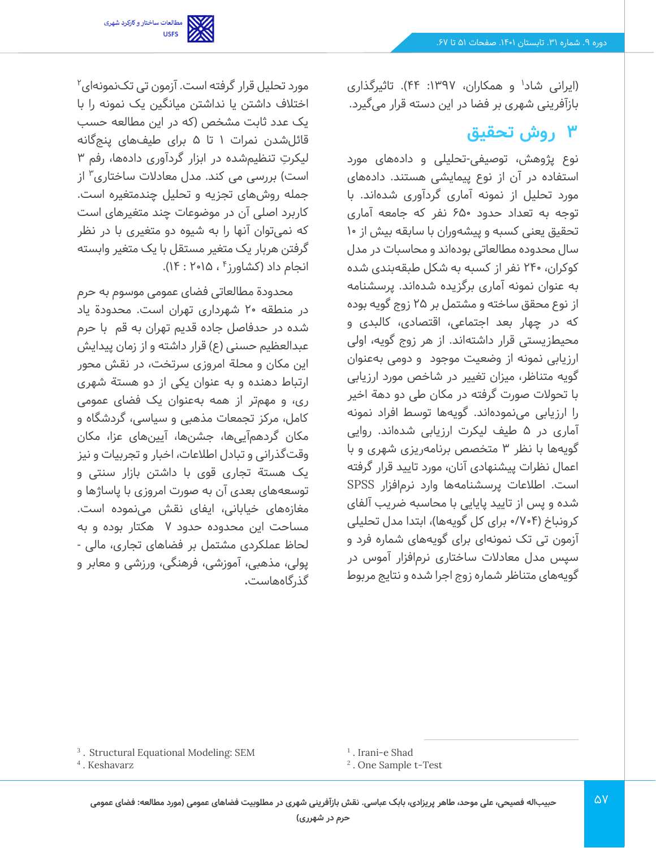

(ایرانی شاد<sup>۱</sup> و همکاران، ۱۳۹۷: ۴۴). تاثیرگذاری بازآفرینی شهری بر فضا در این دسته قرار می گیرد.

# **3 روش تحقیق**

نوع پژوهش، توصیفی -تحلیلی و داده های مورد استفاده در آن از نوع پیمایشی هستند. داده های مورد تحلیل از نمونه آماری گردآوری شده اند. با توجه به تعداد حدود 650 نفر که جامعه آماری تحقیق یعنی کسبه و پیشهوران با سابقه بیش از 10 سال محدوده مطالعاتی بوده اند و محاسبات در مدل کوکران، 240 نفر از کسبه به شکل طبقهبندی شده به عنوان نمونه آماری برگزیده شده اند. پرسشنامه از نوع محقق ساخته و مشتمل بر 25 زوج گویه بوده که در چهار بعد اجتماعی، اقتصادی، کالبدی و محیطزیستی قرار داشتهاند. از هر زوج گویه، اولی ارزیابی نمونه از وضعیت موجود و دومی بهعنوان گویه متناظر، میزان تغییر در شاخص مورد ارزیابی با تحوالت صورت گرفته در مکان طی دو دهة اخیر را ارزیابی می نموده اند. گویه ها توسط افراد نمونه آماری در 5 طیف لیکرت ارزیابی شده اند. روایی گویهها با نظر ۳ متخصص برنامهریزی شهری و با اعمال نظرات پیشنهادی آنان، مورد تایید قرار گرفته است. اطالعات پرسشنامهها وارد نرم افزار SPSS شده و پس از تایید پایایی با محاسبه ضریب آلفای کرونباخ (۷۰۴/۰ برای کل گویهها)، ابتدا مدل تحلیلی آزمون تی تک نمونهای برای گویه های شماره فرد و سپس مدل معادالت ساختاری نرم افزار آموس در گویه های متناظر شماره زوج اجرا شده و نتایج مربوط

مورد تحلیل قرار گرفته است. آزمون تی تک نمونهای $^{\mathsf{y}}$ اختالف داشتن یا نداشتن میانگین یک نمونه را با یک عدد ثابت مشخص )که در این مطالعه حسب قائلشدن نمرات 1 تا 5 برای طیف های پنج گانه لیکرتِ تنظیمشده در ابزار گردآوری دادهها، رفم ۳ است) بررسی می کند. مدل معادلات ساختاری<sup>۳</sup> از جمله روش های تجزیه و تحلیل چندمتغیره است. کاربرد اصلی آن در موضوعات چند متغیرهای است که نمی توان آنها را به شیوه دو متغیری با در نظر گرفتن هربار یک متغیر مستقل با یک متغیر وابسته انجام داد (کشاورز<sup>۴</sup> ، ۱۵۰۵- ۱۴).

محدودة مطالعاتی فضای عمومی موسوم به حرم در منطقه 20 شهرداری تهران است. محدودة یاد شده در حدفاصل جاده قدیم تهران به قم با حرم عبدالعظیم حسنی (ع) قرار داشته و از زمان پیدایش این مکان و محلة امروزی سرتخت، در نقش محور ارتباط دهنده و به عنوان یکی از دو هستة شهری ری، و مهمتر از همه بهعنوان یک فضای عمومی کامل، مرکز تجمعات مذهبی و سیاسی، گردشگاه و مکان گردهم آیی ها، جشن ها، آیین های عزا، مکان وقت گذرانی و تبادل اطالعات، اخبار و تجربیات و نیز یک هستة تجاری قوی با داشتن بازار سنتی و توسعههای بعدی آن به صورت امروزی با پاساژها و مغازههای خیابانی، ایفای نقش می نموده است. مساحت این محدوده حدود 7 هکتار بوده و به لحاظ عملکردی مشتمل بر فضاهای تجاری، مالی - پولی، مذهبی، آموزشی، فرهنگی، ورزشی و معابر و گذرگاههاست**.**

- 3 . Structural Equational Modeling: SEM
- 4 . Keshavarz

<sup>1</sup> . Irani-e Shad

<sup>2</sup> . One Sample t-Test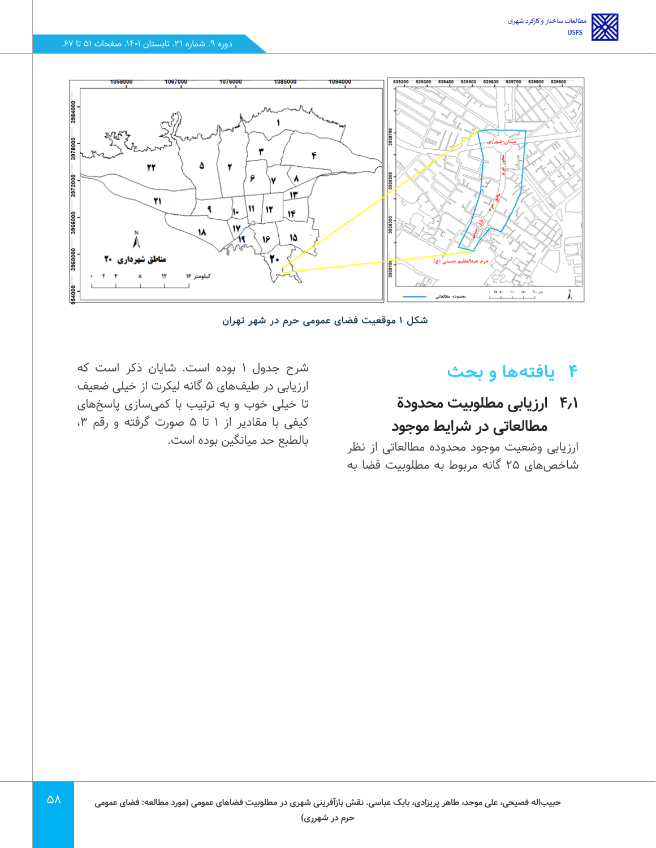

**شکل 1 موقعیت فضای عمومی حرم در شهر تهران** 

### **4 یافتهها و بحث**

# **4.1 ارزیابی مطلوبیت محدودة مطالعاتی در شرایط موجود**

ارزیابی وضعیت موجود محدوده مطالعاتی از نظر شاخصهای 25 گانه مربوط به مطلوبیت فضا به

شرح جدول 1 بوده است. شایان ذکر است که ارزیابی در طیفهای 5 گانه لیکرت از خیلی ضعیف تا خیلی خوب و به ترتیب با کمی سازی پاسخ های کیفی با مقادیر از ۱ تا ۵ صورت گرفته و رقم ۳، بالطبع حد میانگین بوده است.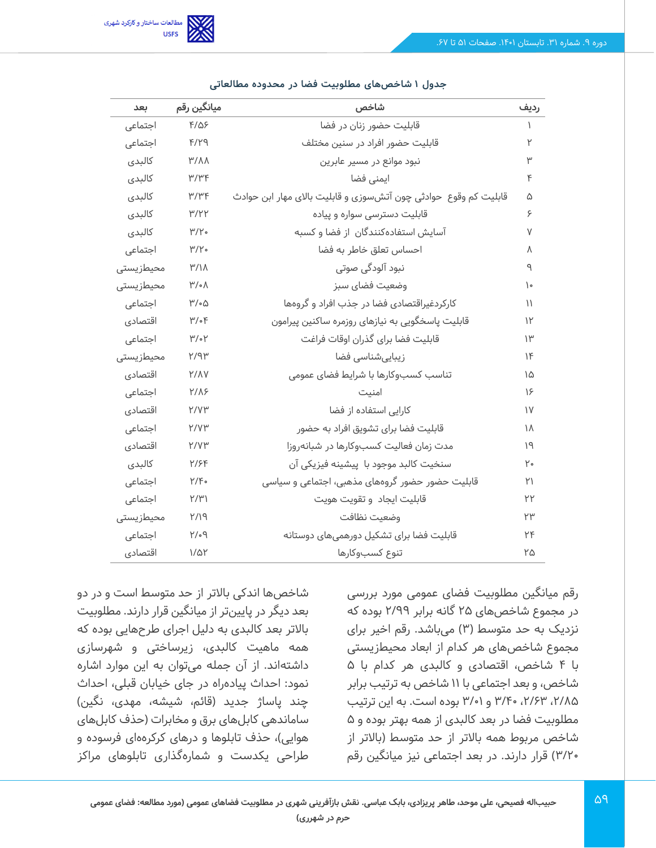

| بعد       | ميانگين رقم     | شاخص                                                             |              |
|-----------|-----------------|------------------------------------------------------------------|--------------|
| اجتماعی   | $F/\Delta$ ۶    | قابلیت حضور زنان در فضا                                          |              |
| اجتماعی   | $F/Y$ 9         | قابلیت حضور افراد در سنین مختلف                                  |              |
| كالبدى    | M/M             | نبود موانع در مسیر عابرین                                        |              |
| كالبدى    | $M/\mu$         | ایمنی فضا                                                        | ۴            |
| كالبدى    | ۳/۳۴            | قابلیت کم وقوع  حوادثی چون آتشسوزی و قابلیت بالای مهار ابن حوادث | ۵            |
| كالبدى    | ۳/۲۲            | قابلیت دسترسی سواره و پیاده                                      | ۶            |
| كالبدى    | M/Y             | آسایش استفادهکنندگان از فضا و کسبه                               | ٧            |
| اجتماعی   | M/Y             | احساس تعلق خاطر به فضا                                           | ٨            |
| محيطزيستى | $M/\gamma$      | نبود آلودگی صوتی                                                 | ٩            |
| محيطزيستى | $M/\sim$        | وضعيت فضاى سبز                                                   | ١۰           |
| اجتماعی   | ۳/۰۵            | کارکردغیراقتصادی فضا در جذب افراد و گروهها                       | ۱۱           |
| اقتصادي   | $\mu/\text{e}$  | قابلیت پاسخگویی به نیازهای روزمره ساکنین پیرامون                 | ۱۲           |
| اجتماعی   | $\mu/\text{eV}$ | قابليت فضا براى گذران اوقات فراغت                                | ۱۳           |
| محيطزيستى | $Y$ /9٣         | زیباییشناسی فضا                                                  | 1F           |
| اقتصادي   | <b>Y/AV</b>     | تناسب كسبوكارها با شرايط فضاى عمومى                              | ۱۵           |
| اجتماعی   | <b>Y/18</b>     | امنیت                                                            | 18           |
| اقتصادي   | Y/V۳            | کارایی استفاده از فضا                                            | $\mathsf{N}$ |
| اجتماعی   | Y/V۳            | قابلیت فضا برای تشویق افراد به حضور                              | ۱۸           |
| اقتصادي   | Y/V۳            | مدت زمان فعالیت کسبوکارها در شبانهروزا                           | ۱۹           |
| كالبدى    | <u>۲/۶۴</u>     | سنخيت كالبد موجود با پيشينه فيزيكى آن                            | ۲۰           |
| اجتماعی   | Y/F             | قابلیت حضور حضور گروههای مذهبی، اجتماعی و سیاسی                  | ۲۱           |
| اجتماعی   | Y/Y'            | قابليت ايجاد وتقويت هويت                                         | ۲۲           |
| محيطزيستى | P/Y             | وضعيت نظافت                                                      | ٢٣           |
| اجتماعى   | $P^{\prime}$    | قابلیت فضا برای تشکیل دورهمیهای دوستانه                          | ٢F           |
| اقتصادي   | $1/\Delta Y$    | تنوع كسبوكارها                                                   | ۲۵           |

#### **جدول 1 شاخص های مطلوبیت فضا در محدوده مطالعاتی**

رقم میانگین مطلوبیت فضای عمومی مورد بررسی در مجموع شاخص های 25 گانه برابر 2/99 بوده که نزدیک به حد متوسط )3( می باشد. رقم اخیر برای مجموع شاخصهای هر کدام از ابعاد محیطزیستی با 4 شاخص، اقتصادی و کالبدی هر کدام با 5 شاخص، و بعد اجتماعی با 11 شاخص به ترتیب برابر ،2/85 ،2/63 /40 3 و 3/01 بوده است. به این ترتیب مطلوبیت فضا در بعد کالبدی از همه بهتر بوده و 5 شاخص مربوط همه باالتر از حد متوسط )باالتر از /20 3( قرار دارند. در بعد اجتماعی نیز میانگین رقم

شاخصها اندکی باالتر از حد متوسط است و در دو بعد دیگر در پایین تر از میانگین قرار دارند. مطلوبیت باالتر بعد کالبدی به دلیل اجرای طرح هایی بوده که همه ماهیت کالبدی، زیرساختی و شهرسازی داشتهاند. از آن جمله می توان به این موارد اشاره نمود: احداث پیاده راه در جای خیابان قبلی، احداث چند پاساژ جدید (قائم، شیشه، مهدی، نگین) ساماندهی کابل های برق و مخابرات )حذف کابل های هوایی)، حذف تابلوها و درهای کرکرههای فرسوده و طراحی یکدست و شماره گذاری تابلوهای مراکز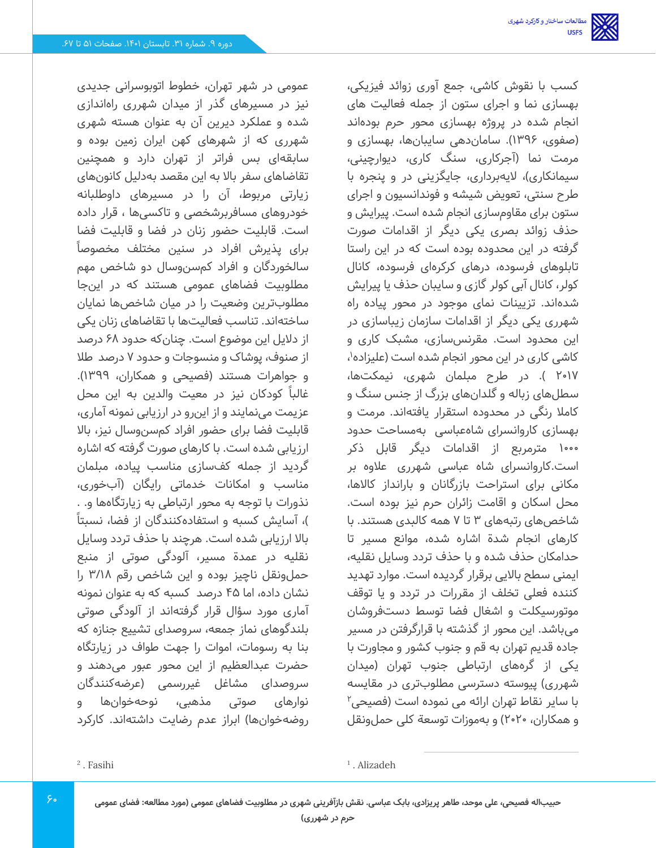کسب با نقوش کاشی، جمع آوری زوائد فیزیکی، بهسازی نما و اجرای ستون از جمله فعالیت های انجام شده در پروژه بهسازی محور حرم بودهاند (صفوی، ۱۳۹۶). ساماندهی سایبانها، بهسازی و مرمت نما )آجرکاری، سنگ کاری، دیوارچینی، سیمانکاری)، لایهبرداری، جایگزینی در و پنجره با طرح سنتی، تعویض شیشه و فوندانسیون و اجرای ستون برای مقاوم سازی انجام شده است. پیرایش و حذف زوائد بصری یکی دیگر از اقدامات صورت گرفته در این محدوده بوده است که در این راستا تابلوهای فرسوده، درهای کرکرهای فرسوده، کانال کولر، کانال آبی کولر گازی و سایبان حذف یا پیرایش شدهاند. تزیینات نمای موجود در محور پیاده راه شهرری یکی دیگر از اقدامات سازمان زیباسازی در این محدود است. مقرنس سازی، مشبک کاری و کاشی کاری در این محور انجام شده است (علیزاده<sup>۱</sup>، 2017 (. در طرح مبلمان شهری، نیمکت ها، سطلهای زباله و گلدان های بزرگ از جنس سنگ و کامال رنگی در محدوده استقرار یافتهاند. مرمت و بهسازی کاروانسرای شاه عباسی به مساحت حدود 1000 مترمربع از اقدامات دیگر قابل ذکر است.کاروانسرای شاه عباسی شهرری عالوه بر مکانی برای استراحت بازرگانان و بارانداز کاالها، محل اسکان و اقامت زائران حرم نیز بوده است. شاخصهای رتبههای 3 تا 7 همه کالبدی هستند. با کارهای انجام شدة اشاره شده، موانع مسیر تا حدامکان حذف شده و با حذف تردد وسایل نقلیه، ایمنی سطح باالیی برقرار گردیده است. موارد تهدید کننده فعلی تخلف از مقررات در تردد و یا توقف موتورسیکلت و اشغال فضا توسط دست فروشان میباشد. این محور از گذشته با قرارگرفتن در مسیر جاده قدیم تهران به قم و جنوب کشور و مجاورت با یکی از گره های ارتباطی جنوب تهران )میدان شهرری) پیوسته دسترسی مطلوبتری در مقایسه با سایر نقاط تهران ارائه می نموده است (فصیحی<sup>۲</sup>

و همکاران، 2020( و به موزات توسعة کلی حملونقل

عمومی در شهر تهران، خطوط اتوبوسرانی جدیدی نیز در مسیرهای گذر از میدان شهرری راه اندازی شده و عملکرد دیرین آن به عنوان هسته شهری شهرری که از شهرهای کهن ایران زمین بوده و سابقهای بس فراتر از تهران دارد و همچنین تقاضاهای سفر باال به این مقصد به دلیل کانون های زیارتی مربوط، آن را در مسیرهای داوطلبانه خودروهای مسافربرشخصی و تاکسی ها ، قرار داده است. قابلیت حضور زنان در فضا و قابلیت فضا برای پذیرش افراد در سنین مختلف مخصوصا ً سالخوردگان و افراد کم سنوسال دو شاخص مهم مطلوبیت فضاهای عمومی هستند که در این جا مطلوبترین وضعیت را در میان شاخصها نمایان ساختهاند. تناسب فعالیتها با تقاضاهای زنان یکی از دالیل این موضوع است. چنانکه حدود 68 درصد از صنوف، پوشاک و منسوجات و حدود 7 درصد طال و جواهرات هستند )فصیحی و همکاران، 1399(. غالبا ً کودکان نیز در معیت والدین به این محل عزیمت می نمایند و از این رو در ارزیابی نمونه آماری، قابلیت فضا برای حضور افراد کم سنوسال نیز، باال ارزیابی شده است. با کارهای صورت گرفته که اشاره گردید از جمله کف سازی مناسب پیاده، مبلمان مناسب و امکانات خدماتی رایگان )آب خوری، نذورات با توجه به محور ارتباطی به زیارتگاهها و. . )، آسایش کسبه و استفادهکنندگان از فضا، نسبتاً باال ارزیابی شده است. هرچند با حذف تردد وسایل نقلیه در عمدة مسیر، آلودگی صوتی از منبع حملونقل ناچیز بوده و این شاخص رقم /18 3 را نشان داده، اما 45 درصد کسبه که به عنوان نمونه آماری مورد سؤال قرار گرفتهاند از آلودگی صوتی بلندگوهای نماز جمعه، سروصدای تشییع جنازه که بنا به رسومات، اموات را جهت طواف در زیارتگاه حضرت عبدالعظیم از این محور عبور می دهند و سروصدای مشاغل غیررسمی (عرضهکنندگان نوارهای صوتی مذهبی، نوحه خوان ها و روضهخوانها) ابراز عدم رضایت داشتهاند. کارکرد

2 . Fasihi

<sup>1</sup> . Alizadeh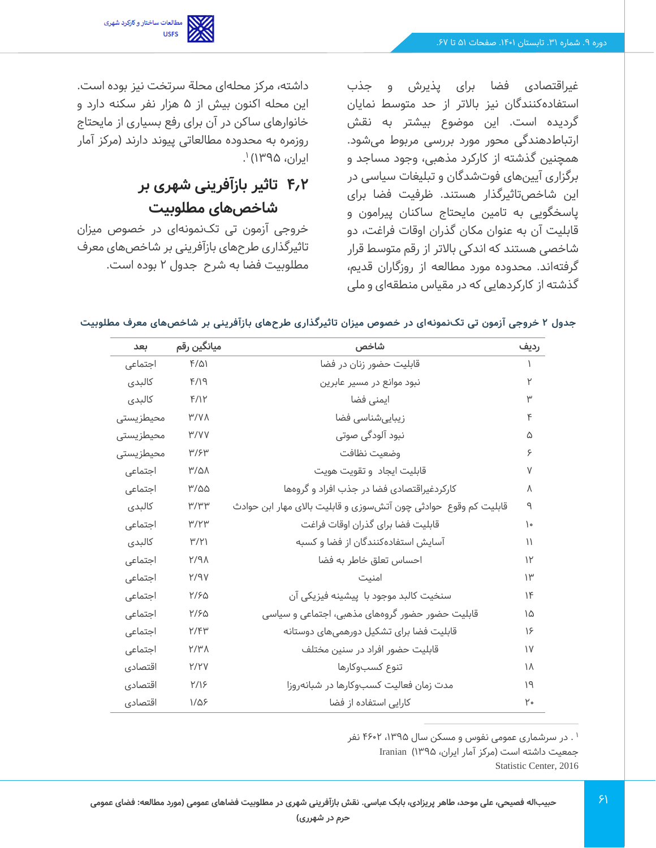

غیراقتصادی فضا برای پذیرش و جذب استفادهکنندگان نیز باالتر از حد متوسط نمایان گردیده است. این موضوع بیشتر به نقش ارتباطدهندگی محور مورد بررسی مربوط می شود. همچنین گذشته از کارکرد مذهبی، وجود مساجد و برگزاری آیین های فوت شدگان و تبلیغات سیاسی در این شاخص تاثیرگذار هستند. ظرفیت فضا برای پاسخگویی به تامین مایحتاج ساکنان پیرامون و قابلیت آن به عنوان مکان گذران اوقات فراغت، دو شاخصی هستند که اندکی باالتر از رقم متوسط قرار گرفتهاند. محدوده مورد مطالعه از روزگاران قدیم، گذشته از کارکردهایی که در مقیاس منطقهای و ملی

داشته، مرکز محله ای محلة سرتخت نیز بوده است. این محله اکنون بیش از 5 هزار نفر سکنه دارد و خانوارهای ساکن در آن برای رفع بسیاری از مایحتاج روزمره به محدوده مطالعاتی پیوند دارند )مرکز آمار ایران، ۱۳۹۵) <sup>۱</sup>.

# **4.2 تاثیر بازآفرینی شهری بر شاخص های مطلوبیت**

خروجی آزمون تی تکنمونهای در خصوص میزان تاثیرگذاری طرح های بازآفرینی بر شاخص های معرف مطلوبیت فضا به شرح جدول 2 بوده است.

|  |  |  |  |  |  |  |  | جدول ۲ خروجی آزمون تی تک <code>نمونه</code> ای در خصوص میزان تاثیرگذاری طرحهای بازآفرینی بر شاخصهای معرف مطلوبیت |
|--|--|--|--|--|--|--|--|------------------------------------------------------------------------------------------------------------------|
|--|--|--|--|--|--|--|--|------------------------------------------------------------------------------------------------------------------|

| ىعد        | ميانگين رقم             | شاخص                                                            |               |
|------------|-------------------------|-----------------------------------------------------------------|---------------|
| اجتماعی    | $F(\Delta)$             | قابلیت حضور زنان در فضا                                         |               |
| كالبدى     | F/19                    | نبود موانع در مسیر عابرین                                       |               |
| كالبدى     | F/IP                    | ایمنی فضا                                                       |               |
| محيطزيستى  | M/V                     | زیباییشناسی فضا                                                 | ۴             |
| محيطزيستى  | W/VV                    | نبود آلودگی صوتی                                                | ۵             |
| محیطز پستی | M/5H                    | وضعيت نظافت                                                     | ۶             |
| اجتماعی    | $M/\Delta\Lambda$       | قابليت ايجاد وتقويت هويت                                        | V             |
| اجتماعی    | ۳/۵۵                    | کارکردغیراقتصادی فضا در جذب افراد و گروهها                      | Λ             |
| كالبدى     | $M/M^{\omega}$          | قابلیت کم وقوع حوادثی چون آتشسوزی و قابلیت بالای مهار ابن حوادث | ٩             |
| اجتماعی    | M/YW                    | قابليت فضا براى گذران اوقات فراغت                               | ۱۰            |
| كالبدى     | $\mathsf{H}/\mathsf{H}$ | آسایش استفادهکنندگان از فضا و کسبه                              | $\mathcal{L}$ |
| اجتماعی    | $N$ $P$                 | احساس تعلق خاطر به فضا                                          | $\mathcal{V}$ |
| اجتماعی    | $Y$ $PY$                | امنيت                                                           | $\mathsf{H}$  |
| اجتماعی    | ۲/۶۵                    | سنخيت كالبد موجود با پيشينه فيزيكى آن                           | 1F            |
| اجتماعی    | Y/50                    | قابلیت حضور حضور گروههای مذهبی، اجتماعی و سیاسی                 | ۱۵            |
| اجتماعی    | Y/FY                    | قابلیت فضا برای تشکیل دورهمیهای دوستانه                         | 18            |
| اجتماعى    | Y/Y                     | قابلیت حضور افراد در سنین مختلف                                 | $\mathsf{V}$  |
| اقتصادي    | Y/YV                    | تنوع كسبوكارها                                                  | ١٨            |
| اقتصادي    | <b>۲/1۶</b>             | مدت زمان فعالیت کسبوکارها در شبانهروزا                          | ١٩            |
| اقتصادي    | $1/\Delta$ ۶            | کارایی استفاده از فضا                                           | ٢۰            |

۰ . در سرشماری عمومی نفوس و مسکن سال ۱۳۹۵، ۴۶۰۲ نفر

جمعیت داشته است (مرکز آمار ایران، ۱۳۹۵) Iranian

Statistic Center, 2016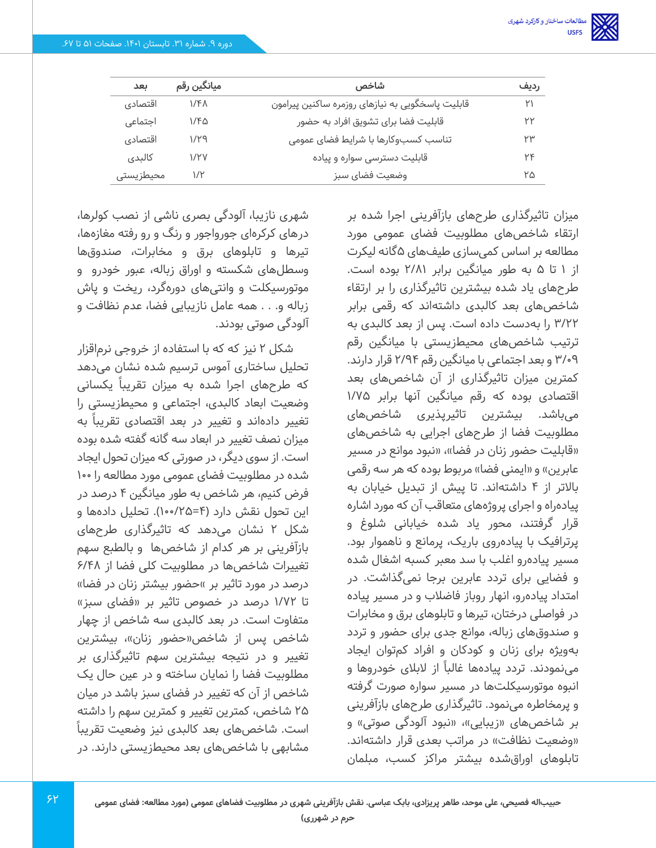| بعد       | میانگین رقم      | شاخص                                             | رديف |
|-----------|------------------|--------------------------------------------------|------|
| اقتصادي   | 1/F <sub>1</sub> | قابلیت پاسخگویی به نیازهای روزمره ساکنین پیرامون | ۲۱   |
| اجتماعی   | ۱/۴۵             | قابلیت فضا برای تشویق افراد به حضور              | ۲۲   |
| اقتصادي   | ۱/۲۹             | تناسب کسبوکارها با شرایط فضای عمومی              | ۲۳   |
| كالبدى    | 1/۲V             | قابلیت دسترسی سواره و پیاده                      | ٢۴   |
| محيطزيستى | ۱/۲              | وضعيت فضاى سبز                                   | ۲۵   |

میزان تاثیرگذاری طرح های بازآفرینی اجرا شده بر ارتقاء شاخصهای مطلوبیت فضای عمومی مورد مطالعه بر اساس کمی سازی طیفهای 5گانه لیکرت از 1 تا 5 به طور میانگین برابر 2/81 بوده است. طرح های یاد شده بیشترین تاثیرگذاری را بر ارتقاء شاخصهای بعد کالبدی داشتهاند که رقمی برابر /22 3 را به دست داده است. پس از بعد کالبدی به ترتیب شاخصهای محیطزیستی با میانگین رقم 3/09 و بعد اجتماعی با میانگین رقم 2/94 قرار دارند. کمترین میزان تاثیرگذاری از آن شاخص های بعد اقتصادی بوده که رقم میانگین آنها برابر /75 1 میباشد. بیشترین تاثیرپذیری شاخص های مطلوبیت فضا از طرح های اجرایی به شاخص های «قابلیت حضور زنان در فضا»، «نبود موانع در مسیر عابرین» و «ایمنی فضا» مربوط بوده که هر سه رقمی باالتر از 4 داشته اند. تا پیش از تبدیل خیابان به پیاده راه و اجرای پروژه های متعاقب آن که مورد اشاره قرار گرفتند، محور یاد شده خیابانی شلوغ و پرترافیک با پیاده روی باریک، پرمانع و ناهموار بود. مسیر پیادهرو اغلب با سد معبر کسبه اشغال شده و فضایی برای تردد عابرین برجا نمی گذاشت. در امتداد پیاده رو، انهار روباز فاضالب و در مسیر پیاده در فواصلی درختان، تیرها و تابلوهای برق و مخابرات و صندوق های زباله، موانع جدی برای حضور و تردد بهویژه برای زنان و کودکان و افراد کمتوان ایجاد مینمودند. تردد پیادهها غالباً از لابلای خودروها و انبوه موتورسیکلت ها در مسیر سواره صورت گرفته و پرمخاطره می نمود. تاثیرگذاری طرح های بازآفرینی بر شاخصهای «زیبایی»، «نبود آلودگی صوتی» و «وضعیت نظافت» در مراتب بعدی قرار داشتهاند. تابلوهای اوراق شده بیشتر مراکز کسب، مبلمان

شهری نازیبا، آلودگی بصری ناشی از نصب کولرها، در های کرکره ای جورواجور و رنگ و رو رفته مغازهها، تیرها و تابلوهای برق و مخابرات، صندوق ها وسطلهای شکسته و اوراق زباله، عبور خودرو و موتورسیکلت و وانتی های دورهگرد، ریخت و پاش زباله و. . . همه عامل نازیبایی فضا، عدم نظافت و آلودگی صوتی بودند.

شکل 2 نیز که که با استفاده از خروجی نرم اقزار تحلیل ساختاری آموس ترسیم شده نشان می دهد که طرح های اجرا شده به میزان تقریبا ً یکسانی وضعیت ابعاد کالبدی، اجتماعی و محیط زیستی را تغییر دادهاند و تغییر در بعد اقتصادی تقریباً به میزان نصف تغییر در ابعاد سه گانه گفته شده بوده است. از سوی دیگر، در صورتی که میزان تحول ایجاد شده در مطلوبیت فضای عمومی مورد مطالعه را 100 فرض کنیم، هر شاخص به طور میانگین 4 درصد در این تحول نقش دارد (۴=۱۰۰/۱۰۰). تحلیل دادهها و شکل 2 نشان می دهد که تاثیرگذاری طرح های بازآفرینی بر هر کدام از شاخصها و بالطبع سهم تغییرات شاخصها در مطلوبیت کلی فضا از 6/48 درصد در مورد تاثیر بر »حضور بیشتر زنان در فضا» تا /72 1 درصد در خصوص تاثیر بر »فضای سبز« متفاوت است. در بعد کالبدی سه شاخص از چهار شاخص پس از شاخص«حضور زنان»، بیشترین تغییر و در نتیجه بیشترین سهم تاثیرگذاری بر مطلوبیت فضا را نمایان ساخته و در عین حال یک شاخص از آن که تغییر در فضای سبز باشد در میان 25 شاخص، کمترین تغییر و کمترین سهم را داشته است. شاخصهای بعد کالبدی نیز وضعیت تقریباً مشابهی با شاخص های بعد محیطزیستی دارند. در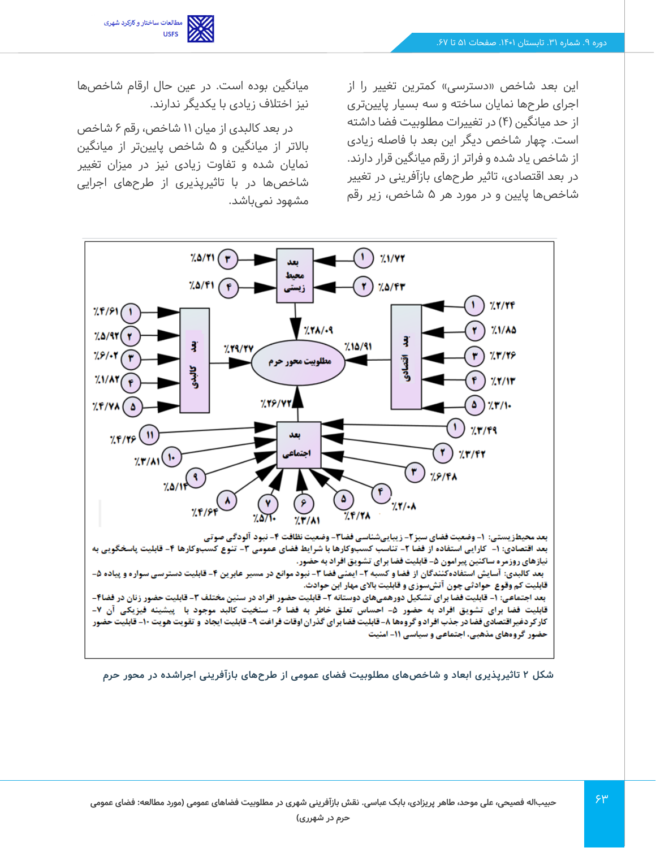

این بعد شاخص «دسترسی» کمترین تغییر را از اجرای طرح ها نمایان ساخته و سه بسیار پایین تری از حد میانگین (۴) در تغییرات مطلوبیت فضا داشته است. چهار شاخص دیگر این بعد با فاصله زیادی از شاخص یاد شده و فراتر از رقم میانگین قرار دارند. در بعد اقتصادی، تاثیر طرح های بازآفرینی در تغییر شاخصها پایین و در مورد هر 5 شاخص، زیر رقم

میانگین بوده است. در عین حال ارقام شاخص ها نیز اختالف زیادی با یکدیگر ندارند.

در بعد کالبدی از میان 11 شاخص، رقم 6 شاخص باالتر از میانگین و 5 شاخص پایین تر از میانگین نمایان شده و تفاوت زیادی نیز در میزان تغییر شاخصها در با تاثیرپذیری از طرح های اجرایی مشهود نمی باشد.



**شکل 2 تاثیرپذیری ابعاد و شاخص های مطلوبیت فضای عمومی از طرح های بازآفرینی اجراشده در محور حرم**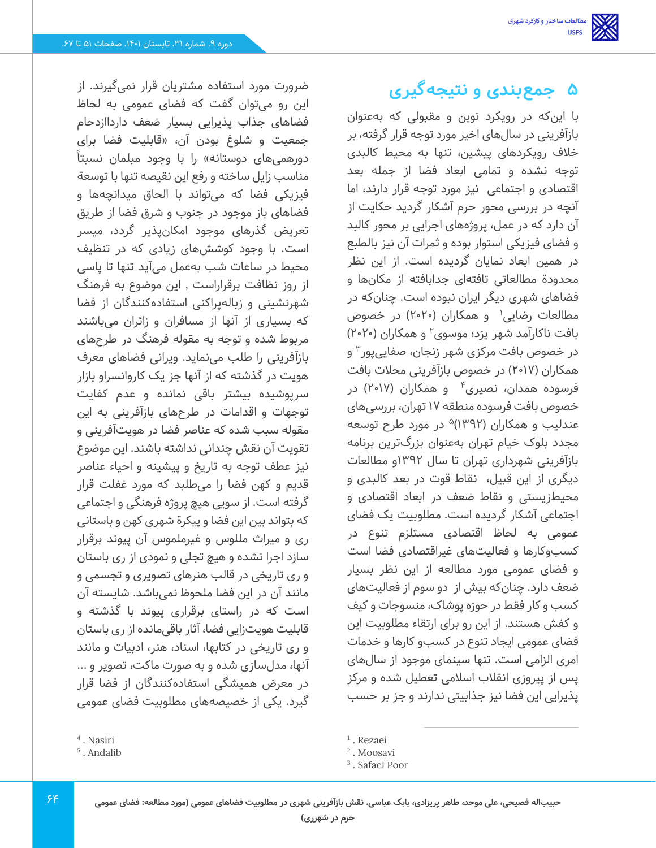ضرورت مورد استفاده مشتریان قرار نمی گیرند. از این رو می توان گفت که فضای عمومی به لحاظ فضاهای جذاب پذیرایی بسیار ضعف دارداازدحام جمعیت و شلوغ بودن آن، »قابلیت فضا برای دورهمیهای دوستانه» را با وجود مبلمان نسبتاً مناسب زایل ساخته و رفع این نقیصه تنها با توسعة فیزیکی فضا که می تواند با الحاق میدانچهها و فضاهای باز موجود در جنوب و شرق فضا از طریق تعریض گذرهای موجود امکانپذیر گردد، میسر است. با وجود کوشش های زیادی که در تنظیف محیط در ساعات شب به عمل می آید تنها تا پاسی از روز نظافت برقراراست , این موضوع به فرهنگ شهرنشینی و زباله پراکنی استفادهکنندگان از فضا که بسیاری از آنها از مسافران و زائران می باشند مربوط شده و توجه به مقوله فرهنگ در طرح های بازآفرینی را طلب می نماید. ویرانی فضاهای معرف هویت در گذشته که از آنها جز یک کاروانسراو بازار سرپوشیده بیشتر باقی نمانده و عدم کفایت توجهات و اقدامات در طرح های بازآفرینی به این مقوله سبب شده که عناصر فضا در هویت آفرینی و تقویت آن نقش چندانی نداشته باشند. این موضوع نیز عطف توجه به تاریخ و پیشینه و احیاء عناصر قدیم و کهن فضا را می طلبد که مورد غفلت قرار گرفته است. از سویی هیچ پروژه فرهنگی و اجتماعی که بتواند بین این فضا و پیکرة شهری کهن و باستانی ری و میراث مللوس و غیرملموس آن پیوند برقرار سازد اجرا نشده و هیچ تجلی و نمودی از ری باستان و ری تاریخی در قالب هنرهای تصویری و تجسمی و مانند آن در این فضا ملحوظ نمی باشد. شایسته آن است که در راستای برقراری پیوند با گذشته و قابلیت هویت زایی فضا، آثار باقی مانده از ری باستان و ری تاریخی در کتابها، اسناد، هنر، ادبیات و مانند آنها، مدل سازی شده و به صورت ماکت، تصویر و ... در معرض همیشگی استفادهکنندگان از فضا قرار گیرد. یکی از خصیصههای مطلوبیت فضای عمومی

# **5 جمعبندی و نتیجهگیری**

با این که در رویکرد نوین و مقبولی که به عنوان بازآفرینی در سال های اخیر مورد توجه قرار گرفته، بر خالف ر ویکردهای پیشین، تنها به محیط کالبدی توجه نشده و تمامی ابعاد فضا از جمله بعد اقتصادی و اجتماعی نیز مورد توجه قرار دارند، اما آنچه در بررسی محور حرم آشکار گردید حکایت از آن دارد که در عمل، پروژه های اجرایی بر محور کالبد و فضای فیزیکی استوار بوده و ثمرات آن نیز بالطبع در همین ابعاد نمایان گردیده است. از این نظر محدودة مطالعاتی تافتهای جدابافته از مکانها و فضاهای شهری دیگر ایران نبوده است. چنان که در مطالعات رضایی<sup>۱</sup> و همکاران (۲۰۲۰) در خصوص بافت ناکارآمد شهر یزد؛ موسوی<sup>۲</sup> و همکاران (۲۰۲۰) در خصوص بافت مرکزی شهر زنجان، صفایی پور<sup>۳</sup> و همکاران (۲۰۱۷) در خصوص بازآفرینی محلات بافت فرسوده همدان، نصیری<sup>۴</sup> و همکاران (۲۰۱۷) در خصوص بافت فرسوده منطقه 17 تهران، بررسی های عندلیب و همکاران (۱۳۹۲)<sup>۵</sup> در مورد طرح توسعه مجدد بلوک خیام تهران به عنوان بزرگترین برنامه بازآفرینی شهرداری تهران تا سال 1392و مطالعات دیگری از این قبیل، نقاط قوت در بعد کالبدی و محیطزیستی و نقاط ضعف در ابعاد اقتصادی و اجتماعی آشکار گردیده است. مطلوبیت یک فضای عمومی به لحاظ اقتصادی مستلزم تنوع در کسب وکارها و فعالیت های غیراقتصادی فضا است و فضای عمومی مورد مطالعه از این نظر بسیار ضعف دارد. چنان که بیش از دو سوم از فعالیت های کسب و کار فقط در حوزه پوشاک، منسوجات و کیف و کفش هستند. از این رو برای ارتقاء مطلوبیت این فضای عمومی ایجاد تنوع در کسب و کارها و خدمات امری الزامی است. تنها سینمای موجود از سال های پس از پیروزی انقالب اسالمی تعطیل شده و مرکز پذیرایی این فضا نیز جذابیتی ندارند و جز بر حسب

<sup>4</sup> . Nasiri

<sup>5</sup> . Andalib

<sup>&</sup>lt;sup>1</sup>. Rezaei

<sup>2</sup> . Moosavi

<sup>3</sup> . Safaei Poor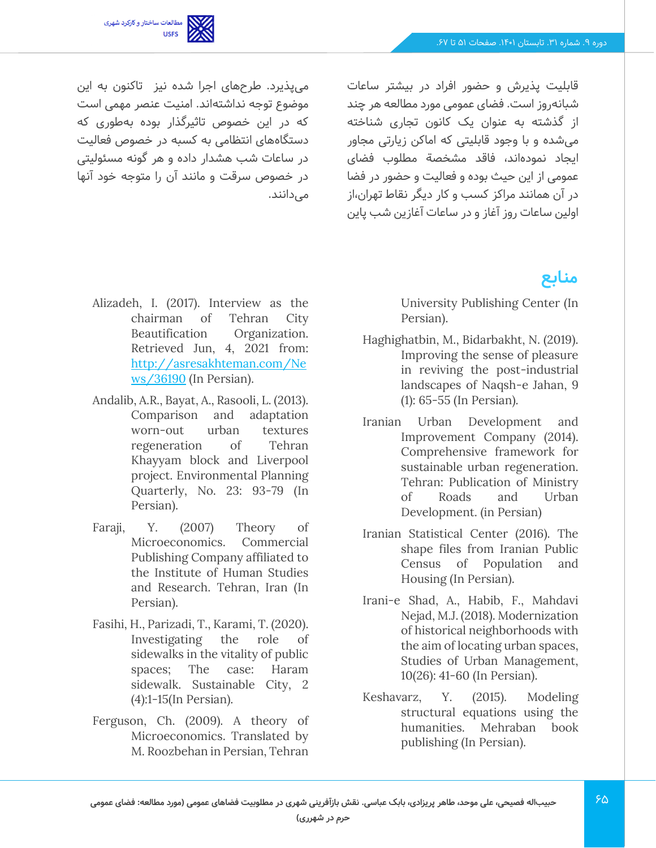مطالعات ساختار و کارکرد شهری<br>USFS

میپذیرد. طرح های اجر ا شده نیز تاکنون به این موضوع توجه نداشتهاند. امنیت عنصر مهمی است که در این خصوص تاثیرگذار بوده به طوری که دستگاههای انتظامی به کسبه در خصوص فعالیت در ساعات شب هشدار داده و هر گونه مسئولیتی در خصوص سرقت و مانند آن را متوجه خود آنها

قابلیت پذیرش و حضور افراد در بیشتر ساعات شبانهروز است. فضای عمومی مورد مطالعه هر چند از گذشته به عنوان یک کانون تجاری شناخته میشده و با وجود قابلیتی که اماکن زیارتی مجاور ایجاد نموده اند، فاقد مشخصة مطلوب فضای عمومی از این حیث بوده و فعالیت و حضور در فضا در آن همانند مراکز کسب و کار دیگر نقاط تهران،از اولین ساعات روز آغاز و در ساعات آغازین شب پاین

# **منابع**

University Publishing Center (In Persian).

- Haghighatbin, M., Bidarbakht, N. (2019). Improving the sense of pleasure in reviving the post-industrial landscapes of Naqsh-e Jahan, 9 (1): 65-55 (In Persian).
- Iranian Urban Development and Improvement Company (2014). Comprehensive framework for sustainable urban regeneration. Tehran: Publication of Ministry of Roads and Urban Development. (in Persian)
- Iranian Statistical Center (2016). The shape files from Iranian Public Census of Population and Housing (In Persian).
- Irani-e Shad, A., Habib, F., Mahdavi Nejad, M.J. (2018). Modernization of historical neighborhoods with the aim of locating urban spaces, Studies of Urban Management, 10(26): 41-60 (In Persian).
- Keshavarz, Y. (2015). Modeling structural equations using the humanities. Mehraban book publishing (In Persian).

Alizadeh, I. (2017). Interview as the chairman of Tehran City Beautification Organization. Retrieved Jun, 4, 2021 from: [http://asresakhteman.com/Ne](http://asresakhteman.com/News/36190) [ws/36190](http://asresakhteman.com/News/36190) (In Persian).

مے ،دانند.

- Andalib, A.R., Bayat, A., Rasooli, L. (2013). Comparison and adaptation worn-out urban textures regeneration of Tehran Khayyam block and Liverpool project. Environmental Planning Quarterly, No. 23: 93-79 (In Persian).
- Faraji, Y. (2007) Theory of Microeconomics. Commercial Publishing Company affiliated to the Institute of Human Studies and Research. Tehran, Iran (In Persian).
- Fasihi, H., Parizadi, T., Karami, T. (2020). Investigating the role of sidewalks in the vitality of public spaces; The case: Haram sidewalk. Sustainable City, 2 (4):1-15(In Persian).
- Ferguson, Ch. (2009). A theory of Microeconomics. Translated by M. Roozbehan in Persian, Tehran

**حرم در شهرری(**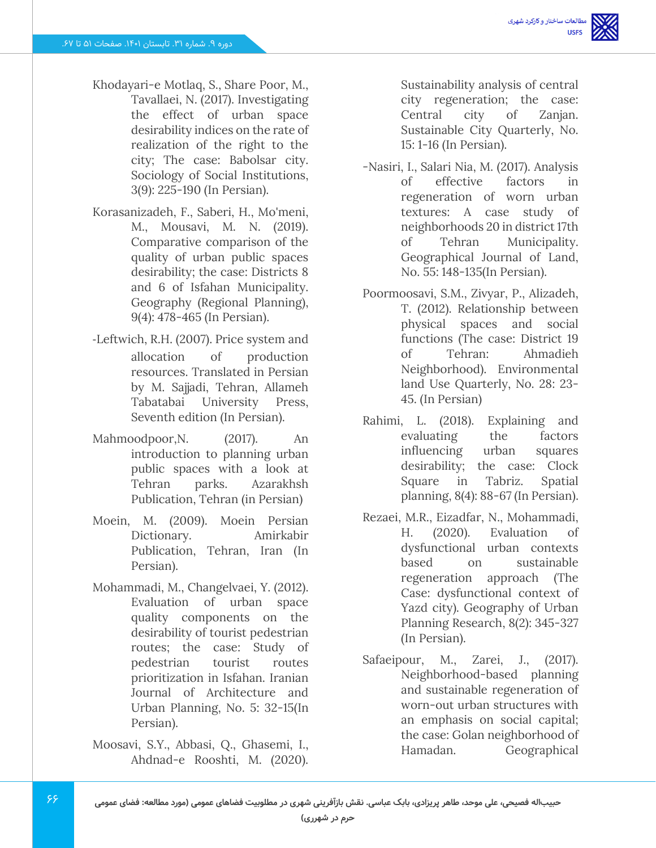- Khodayari-e Motlaq, S., Share Poor, M., Tavallaei, N. (2017). Investigating the effect of urban space desirability indices on the rate of realization of the right to the city; The case: Babolsar city. Sociology of Social Institutions, 3(9): 225-190 (In Persian).
- Korasanizadeh, F., Saberi, H., Mo'meni, M., Mousavi, M. N. (2019). Comparative comparison of the quality of urban public spaces desirability; the case: Districts 8 and 6 of Isfahan Municipality. Geography (Regional Planning), 9(4): 478-465 (In Persian).
- -Leftwich, R.H. (2007). Price system and allocation of production resources. Translated in Persian by M. Sajjadi, Tehran, Allameh Tabatabai University Press, Seventh edition (In Persian).
- Mahmoodpoor,N. (2017). An introduction to planning urban public spaces with a look at Tehran parks. Azarakhsh Publication, Tehran (in Persian)
- Moein, M. (2009). Moein Persian Dictionary. Amirkabir Publication, Tehran, Iran (In Persian).
- Mohammadi, M., Changelvaei, Y. (2012). Evaluation of urban space quality components on the desirability of tourist pedestrian routes; the case: Study of pedestrian tourist routes prioritization in Isfahan. Iranian Journal of Architecture and Urban Planning, No. 5: 32-15(In Persian).
- Moosavi, S.Y., Abbasi, Q., Ghasemi, I., Ahdnad-e Rooshti, M. (2020).

Sustainability analysis of central city regeneration; the case: Central city of Zanjan. Sustainable City Quarterly, No. 15: 1-16 (In Persian).

- -Nasiri, I., Salari Nia, M. (2017). Analysis of effective factors in regeneration of worn urban textures: A case study of neighborhoods 20 in district 17th of Tehran Municipality. Geographical Journal of Land, No. 55: 148-135(In Persian).
- Poormoosavi, S.M., Zivyar, P., Alizadeh, T. (2012). Relationship between physical spaces and social functions (The case: District 19 of Tehran: Ahmadieh Neighborhood). Environmental land Use Quarterly, No. 28: 23- 45. (In Persian)
- Rahimi, L. (2018). Explaining and evaluating the factors influencing urban squares desirability; the case: Clock Square in Tabriz. Spatial planning, 8(4): 88-67 (In Persian).
- Rezaei, M.R., Eizadfar, N., Mohammadi, H. (2020). Evaluation of dysfunctional urban contexts based on sustainable regeneration approach (The Case: dysfunctional context of Yazd city). Geography of Urban Planning Research, 8(2): 345-327 (In Persian).
- Safaeipour, M., Zarei, J., (2017). Neighborhood-based planning and sustainable regeneration of worn-out urban structures with an emphasis on social capital; the case: Golan neighborhood of Hamadan. Geographical